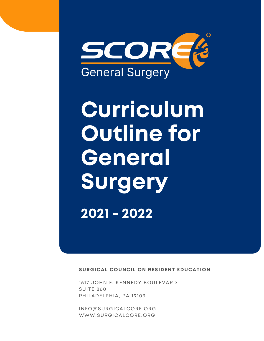

# **Curriculum Outline for General Surgery 2021 - 2022**

**SURGICAL COUNCIL ON RESIDENT EDUCATION**

1617 JOHN F. KENNEDY BOULEVARD SUITE 860 PHILADELPHIA, PA 19103

[INFO@SURGICALCORE.ORG](mailto:info@surgicalcore.org) [WWW.SURGICALCORE.ORG](http://www.surgicalcore.org/)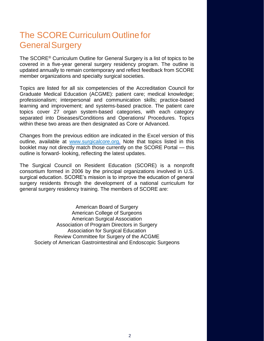# The SCORE Curriculum Outline for GeneralSurgery

The SCORE® Curriculum Outline for General Surgery is a list of topics to be covered in a five-year general surgery residency program. The outline is updated annually to remain contemporary and reflect feedback from SCORE member organizations and specialty surgical societies.

Topics are listed for all six competencies of the Accreditation Council for Graduate Medical Education (ACGME): patient care; medical knowledge; professionalism; interpersonal and communication skills; practice-based learning and improvement; and systems-based practice. The patient care topics cover 27 organ system-based categories, with each category separated into Diseases/Conditions and Operations/ Procedures. Topics within these two areas are then designated as Core or Advanced.

Changes from the previous edition are indicated in the Excel version of this outline, available at [www.surgicalcore.org.](http://www.surgicalcore.org/) Note that topics listed in this booklet may not directly match those currently on the SCORE Portal — this outline is forward- looking, reflecting the latest updates.

The Surgical Council on Resident Education (SCORE) is a nonprofit consortium formed in 2006 by the principal organizations involved in U.S. surgical education. SCORE's mission is to improve the education of general surgery residents through the development of a national curriculum for general surgery residency training. The members of SCORE are:

American Board of Surgery American College of Surgeons American Surgical Association Association of Program Directors in Surgery Association for Surgical Education Review Committee for Surgery of the ACGME Society of American Gastrointestinal and Endoscopic Surgeons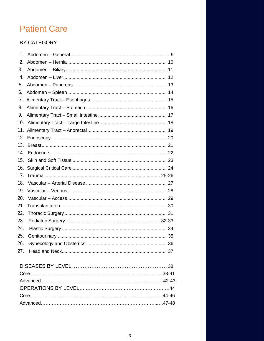# **Patient Care**

# BY CATEGORY

| 1.               |  |
|------------------|--|
| 2.               |  |
| 3.               |  |
| $\overline{4}$ . |  |
| 5.               |  |
| 6.               |  |
| 7 <sub>1</sub>   |  |
| 8.               |  |
| 9.               |  |
| 10.              |  |
| 11.              |  |
| 12.              |  |
| 13.              |  |
| 14.              |  |
| 15.              |  |
| 16.              |  |
| 17.              |  |
| 18.              |  |
| 19.              |  |
| 20.              |  |
| 21.              |  |
| 22.              |  |
| 23.              |  |
| 24.              |  |
| 25.              |  |
| 26.              |  |
| 27.              |  |
|                  |  |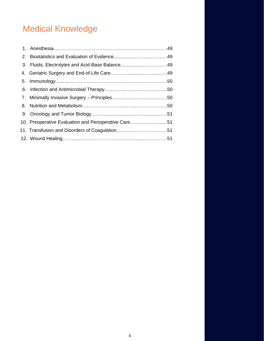# Medical Knowledge

| 10. Preoperative Evaluation and Perioperative Care51 |  |
|------------------------------------------------------|--|
|                                                      |  |
|                                                      |  |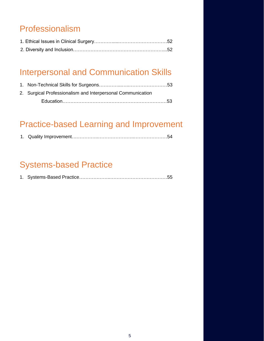# Professionalism

# [Interpersonal and Communication Skills](#page-52-0)

| 2. Surgical Professionalism and Interpersonal Communication |  |
|-------------------------------------------------------------|--|
|                                                             |  |

# [Practice-based Learning and Improvement](#page-53-0)

|--|--|--|

# [Systems-based Practice](#page-54-0)

|--|--|--|--|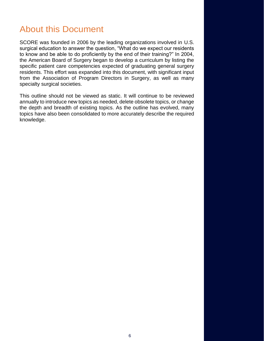# About this Document

SCORE was founded in 2006 by the leading organizations involved in U.S. surgical education to answer the question, "What do we expect our residents to know and be able to do proficiently by the end of their training?" In 2004, the American Board of Surgery began to develop a curriculum by listing the specific patient care competencies expected of graduating general surgery residents. This effort was expanded into this document, with significant input from the Association of Program Directors in Surgery, as well as many specialty surgical societies.

This outline should not be viewed as static. It will continue to be reviewed annually to introduce new topics as needed, delete obsolete topics, or change the depth and breadth of existing topics. As the outline has evolved, many topics have also been consolidated to more accurately describe the required knowledge.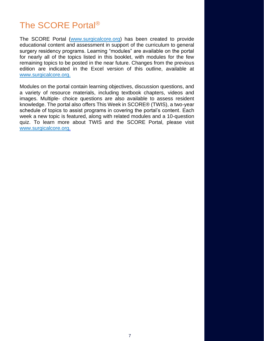# The SCORE Portal®

The SCORE Portal [\(www.surgicalcore.org\)](http://www.surgicalcore.org/) has been created to provide educational content and assessment in support of the curriculum to general surgery residency programs. Learning "modules" are available on the portal for nearly all of the topics listed in this booklet, with modules for the few remaining topics to be posted in the near future. Changes from the previous edition are indicated in the Excel version of this outline, available at [www.surgicalcore.org.](http://www.surgicalcore.org/)

Modules on the portal contain learning objectives, discussion questions, and a variety of resource materials, including textbook chapters, videos and images. Multiple- choice questions are also available to assess resident knowledge. The portal also offers This Week in SCORE® (TWIS), a two-year schedule of topics to assist programs in covering the portal's content. Each week a new topic is featured, along with related modules and a 10-question quiz. To learn more about TWIS and the SCORE Portal, please visit [www.surgicalcore.org.](http://www.surgicalcore.org/)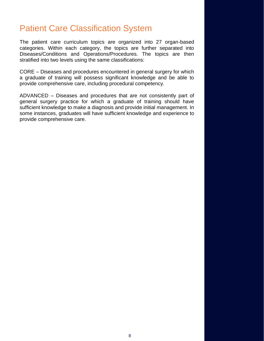# Patient Care Classification System

The patient care curriculum topics are organized into 27 organ-based categories. Within each category, the topics are further separated into Diseases/Conditions and Operations/Procedures. The topics are then stratified into two levels using the same classifications:

CORE – Diseases and procedures encountered in general surgery for which a graduate of training will possess significant knowledge and be able to provide comprehensive care, including procedural competency.

ADVANCED – Diseases and procedures that are not consistently part of general surgery practice for which a graduate of training should have sufficient knowledge to make a diagnosis and provide initial management. In some instances, graduates will have sufficient knowledge and experience to provide comprehensive care.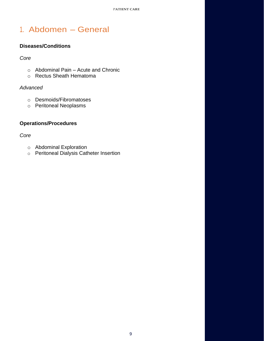# <span id="page-8-0"></span>1. Abdomen – General

# **Diseases/Conditions**

### *Core*

- o Abdominal Pain [Acute and Chronic](https://www.surgicalcore.org/modulecontent.aspx?id=1000515)
- o [Rectus Sheath Hematoma](https://www.surgicalcore.org/modulecontent.aspx?id=135076)

### *Advanced*

- o [Desmoids/Fibromatoses](https://www.surgicalcore.org/modulecontent.aspx?id=158796)
- o [Peritoneal Neoplasms](https://www.surgicalcore.org/modulecontent.aspx?id=161157)

# **Operations/Procedures**

### *Core*

- o [Abdominal Exploration](https://www.surgicalcore.org/modulecontent.aspx?id=1000517)
- o [Peritoneal Dialysis Catheter Insertion](https://www.surgicalcore.org/modulecontent.aspx?id=164292)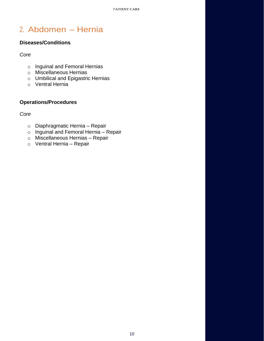# <span id="page-9-0"></span>2. Abdomen – Hernia

# **Diseases/Conditions**

*Core*

- o [Inguinal and Femoral Hernias](https://www.surgicalcore.org/modulecontent.aspx?id=126069)
- o [Miscellaneous Hernias](https://www.surgicalcore.org/modulecontent.aspx?id=135184)
- o [Umbilical and Epigastric Hernias](https://www.surgicalcore.org/modulecontent.aspx?id=163995)
- o [Ventral Hernia](https://www.surgicalcore.org/modulecontent.aspx?id=126211)

# **Operations/Procedures**

*Core*

- o [Diaphragmatic Hernia –](https://www.surgicalcore.org/modulecontent.aspx?id=166474) Repair
- o [Inguinal and Femoral Hernia –](https://www.surgicalcore.org/modulecontent.aspx?id=126299) Repair
- o [Miscellaneous Hernias –](https://www.surgicalcore.org/modulecontent.aspx?id=143775) Repair
- o [Ventral Hernia –](https://www.surgicalcore.org/modulecontent.aspx?id=1000516) Repair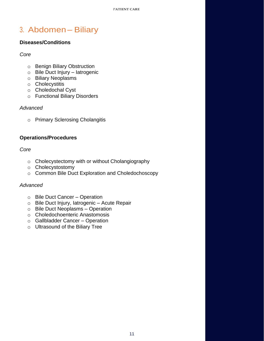# <span id="page-10-0"></span>3. Abdomen – Biliary

# **Diseases/Conditions**

*Core*

- o [Benign Biliary Obstruction](https://www.surgicalcore.org/modulecontent.aspx?id=1000519)
- o Bile [Duct Injury –](https://www.surgicalcore.org/modulecontent.aspx?id=127142) Iatrogenic
- o [Biliary Neoplasms](https://www.surgicalcore.org/modulecontent.aspx?id=1000518)
- o [Cholecystitis](https://www.surgicalcore.org/modulecontent.aspx?id=1000520)
- o [Choledochal Cyst](https://www.surgicalcore.org/modulecontent.aspx?id=143945)
- o [Functional Biliary Disorders](https://www.surgicalcore.org/modulecontent.aspx?id=1000521)

### *Advanced*

o [Primary Sclerosing Cholangitis](https://www.surgicalcore.org/modulecontent.aspx?id=263722)

### **Operations/Procedures**

### *Core*

- o [Cholecystectomy with or without Cholangiography](https://www.surgicalcore.org/modulecontent.aspx?id=127238)
- o [Cholecystostomy](https://www.surgicalcore.org/modulecontent.aspx?id=144096)
- o [Common Bile Duct Exploration and Choledochoscopy](https://www.surgicalcore.org/modulecontent.aspx?id=1000522)

- o [Bile Duct Cancer –](https://www.surgicalcore.org/modulecontent.aspx?id=161353) Operation
- o [Bile Duct Injury, Iatrogenic –](https://www.surgicalcore.org/modulecontent.aspx?id=161417) Acute Repair
- o [Bile Duct Neoplasms –](https://www.surgicalcore.org/modulecontent.aspx?id=1000208) Operation
- o Choledochoenteric Anastomosis
- o [Gallbladder Cancer –](https://www.surgicalcore.org/modulecontent.aspx?id=144311) Operation
- o [Ultrasound of the Biliary Tree](https://www.surgicalcore.org/modulecontent.aspx?id=167402)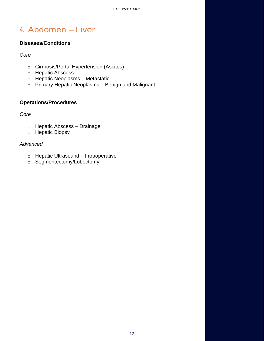# <span id="page-11-0"></span>4. Abdomen – Liver

### **Diseases/Conditions**

### *Core*

- o [Cirrhosis/Portal Hypertension \(Ascites\)](https://www.surgicalcore.org/modulecontent.aspx?id=144569)
- o [Hepatic Abscess](https://www.surgicalcore.org/modulecontent.aspx?id=135320)
- o [Hepatic Neoplasms –](https://www.surgicalcore.org/modulecontent.aspx?id=144441) Metastatic
- o [Primary Hepatic Neoplasms –](https://www.surgicalcore.org/modulecontent.aspx?id=1000493) Benign and Malignant

# **Operations/Procedures**

### *Core*

- o [Hepatic Abscess –](https://www.surgicalcore.org/modulecontent.aspx?id=144743) Drainage
- o [Hepatic Biopsy](https://www.surgicalcore.org/modulecontent.aspx?id=127428)

- o [Hepatic Ultrasound –](https://www.surgicalcore.org/modulecontent.aspx?id=144703) Intraoperative
- o [Segmentectomy/Lobectomy](https://www.surgicalcore.org/modulecontent.aspx?id=1000472)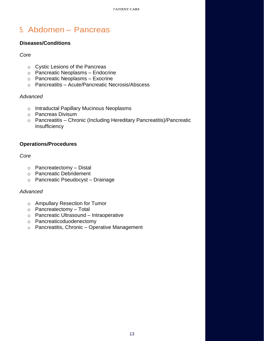# <span id="page-12-0"></span>5. Abdomen – Pancreas

### **Diseases/Conditions**

### *Core*

- o [Cystic Lesions of the Pancreas](https://www.surgicalcore.org/modulecontent.aspx?id=1000478)
- o [Pancreatic Neoplasms –](https://www.surgicalcore.org/modulecontent.aspx?id=144977) Endocrine
- o [Pancreatic Neoplasms –](https://www.surgicalcore.org/modulecontent.aspx?id=144855) Exocrine
- o Pancreatitis Acute/Pancreatic [Necrosis/Abscess](https://www.surgicalcore.org/modulecontent.aspx?id=1000480)

### *Advanced*

- o [Intraductal Papillary Mucinous Neoplasms](https://www.surgicalcore.org/modulecontent.aspx?id=164587)
- o [Pancreas Divisum](https://www.surgicalcore.org/modulecontent.aspx?id=164056)
- o Pancreatitis [Chronic \(Including Hereditary Pancreatitis\)/Pancreatic](https://www.surgicalcore.org/modulecontent.aspx?id=144796) **[Insufficiency](https://www.surgicalcore.org/modulecontent.aspx?id=144796)**

### **Operations/Procedures**

### *Core*

- $\circ$  [Pancreatectomy –](https://www.surgicalcore.org/modulecontent.aspx?id=145130) Distal
- o [Pancreatic Debridement](https://www.surgicalcore.org/modulecontent.aspx?id=145191)
- o [Pancreatic Pseudocyst –](https://www.surgicalcore.org/modulecontent.aspx?id=145246) Drainage

- o [Ampullary Resection for Tumor](https://www.surgicalcore.org/modulecontent.aspx?id=261367)
- $\circ$  Pancreatectomy Total
- o [Pancreatic Ultrasound](https://www.surgicalcore.org/modulecontent.aspx?id=159050) Intraoperative
- o [Pancreaticoduodenectomy](https://www.surgicalcore.org/modulecontent.aspx?id=145049)
- o Pancreatitis, Chronic [Operative Management](https://www.surgicalcore.org/modulecontent.aspx?id=1000481)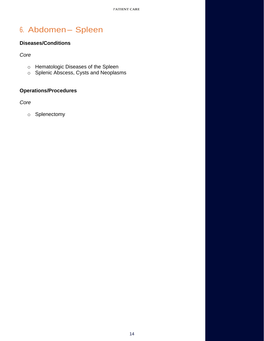# <span id="page-13-0"></span>6. Abdomen – Spleen

# **Diseases/Conditions**

*Core*

- o [Hematologic Diseases of the Spleen](https://www.surgicalcore.org/modulecontent.aspx?id=1000486)
- o [Splenic Abscess, Cysts and](https://www.surgicalcore.org/modulecontent.aspx?id=1000487) Neoplasms

# **Operations/Procedures**

*Core*

o [Splenectomy](https://www.surgicalcore.org/modulecontent.aspx?id=127529)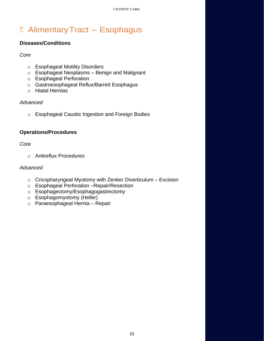# <span id="page-14-0"></span>7. AlimentaryTract – Esophagus

# **Diseases/Conditions**

### *Core*

- o [Esophageal Motility Disorders](https://www.surgicalcore.org/modulecontent.aspx?id=1000560)
- o [Esophageal Neoplasms –](https://www.surgicalcore.org/modulecontent.aspx?id=1000534) Benign and Malignant
- o [Esophageal Perforation](https://www.surgicalcore.org/modulecontent.aspx?id=1000575)
- o [Gastroesophageal Reflux/Barrett Esophagus](https://www.surgicalcore.org/modulecontent.aspx?id=127683)
- o [Hiatal Hernias](https://www.surgicalcore.org/modulecontent.aspx?id=127763)

# *Advanced*

o [Esophageal Caustic Ingestion and Foreign Bodies](https://www.surgicalcore.org/modulecontent.aspx?id=1000489)

# **Operations/Procedures**

*Core*

o [Antireflux Procedures](https://www.surgicalcore.org/modulecontent.aspx?id=1000503)

- $\circ$  [Cricopharyngeal Myotomy with Zenker](https://www.surgicalcore.org/modulecontent.aspx?id=145649) Diverticulum Excision
- o [Esophageal Perforation –Repair/Resection](https://www.surgicalcore.org/modulecontent.aspx?id=146022)
- o [Esophagectomy/Esophagogastrectomy](https://www.surgicalcore.org/modulecontent.aspx?id=164703)
- o [Esophagomyotomy \(Heller\)](https://www.surgicalcore.org/modulecontent.aspx?id=145708)
- o [Paraesophageal Hernia –](https://www.surgicalcore.org/modulecontent.aspx?id=1000574) Repair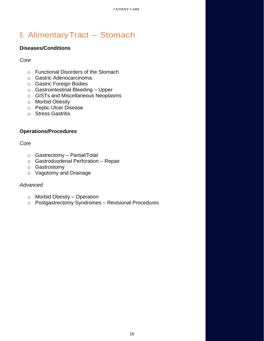# <span id="page-15-0"></span>8. AlimentaryTract – Stomach

# **Diseases/Conditions**

# *Core*

- o [Functional Disorders of the Stomach](https://www.surgicalcore.org/modulecontent.aspx?id=1000491)
- o [Gastric Adenocarcinoma](https://www.surgicalcore.org/modulecontent.aspx?id=128003)
- o [Gastric Foreign Bodies](https://www.surgicalcore.org/modulecontent.aspx?id=146090)
- o [Gastrointestinal Bleeding –](https://www.surgicalcore.org/modulecontent.aspx?id=1000490) Upper
- o [GISTs and Miscellaneous Neoplasms](https://www.surgicalcore.org/modulecontent.aspx?id=136240)
- o [Morbid Obesity](https://www.surgicalcore.org/modulecontent.aspx?id=161927)
- o [Peptic Ulcer Disease](https://www.surgicalcore.org/modulecontent.aspx?id=1000204)
- o [Stress Gastritis](https://www.surgicalcore.org/modulecontent.aspx?id=136471)

# **Operations/Procedures**

### *Core*

- o [Gastrectomy –](https://www.surgicalcore.org/modulecontent.aspx?id=146287) Partial/Total
- o [Gastroduodenal Perforation –](https://www.surgicalcore.org/modulecontent.aspx?id=146350) Repair
- o [Gastrostomy](https://www.surgicalcore.org/modulecontent.aspx?id=128073)
- o [Vagotomy and Drainage](https://www.surgicalcore.org/modulecontent.aspx?id=146408)

- o [Morbid Obesity –](https://www.surgicalcore.org/modulecontent.aspx?id=146223) Operation
- o [Postgastrectomy Syndromes –](https://www.surgicalcore.org/modulecontent.aspx?id=1000161) Revisional Procedures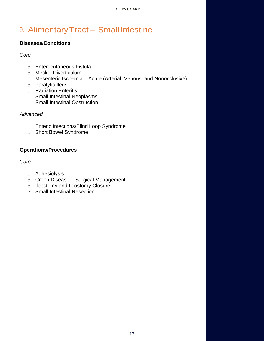# <span id="page-16-0"></span>9. Alimentary Tract - Small Intestine

# **Diseases/Conditions**

### *Core*

- o [Enterocutaneous Fistula](https://www.surgicalcore.org/modulecontent.aspx?id=167674)
- o [Meckel Diverticulum](https://www.surgicalcore.org/modulecontent.aspx?id=136923)
- o Mesenteric Ischemia [Acute \(Arterial, Venous, and Nonocclusive\)](https://www.surgicalcore.org/modulecontent.aspx?id=128339)
- o [Paralytic Ileus](https://www.surgicalcore.org/modulecontent.aspx?id=167603)
- o [Radiation Enteritis](https://www.surgicalcore.org/modulecontent.aspx?id=136986)
- o [Small Intestinal Neoplasms](https://www.surgicalcore.org/modulecontent.aspx?id=1000523)
- o [Small Intestinal Obstruction](https://www.surgicalcore.org/modulecontent.aspx?id=1000525)

# *Advanced*

- o [Enteric Infections/Blind Loop Syndrome](https://www.surgicalcore.org/modulecontent.aspx?id=162043)
- o [Short Bowel Syndrome](https://www.surgicalcore.org/modulecontent.aspx?id=164769)

# **Operations/Procedures**

# *Core*

- o [Adhesiolysis](https://www.surgicalcore.org/modulecontent.aspx?id=128454)
- o Crohn Disease [Surgical Management](https://www.surgicalcore.org/modulecontent.aspx?id=1000524)
- o [Ileostomy and Ileostomy Closure](https://www.surgicalcore.org/modulecontent.aspx?id=1000526)
- o [Small Intestinal Resection](https://www.surgicalcore.org/modulecontent.aspx?id=128394)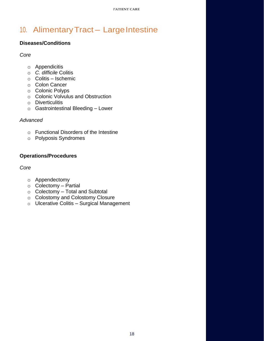# <span id="page-17-0"></span>10. Alimentary Tract - Large Intestine

# **Diseases/Conditions**

*Core*

- o [Appendicitis](https://www.surgicalcore.org/modulecontent.aspx?id=128926)
- o *[C. difficile](https://www.surgicalcore.org/modulecontent.aspx?id=136870)* [Colitis](https://www.surgicalcore.org/modulecontent.aspx?id=136870)
- o Colitis [Ischemic](https://www.surgicalcore.org/modulecontent.aspx?id=136797)
- o [Colon Cancer](https://www.surgicalcore.org/modulecontent.aspx?id=129337)
- o [Colonic Polyps](https://www.surgicalcore.org/modulecontent.aspx?id=129253)
- o [Colonic Volvulus and Obstruction](https://www.surgicalcore.org/modulecontent.aspx?id=1000567)
- o [Diverticulitis](https://www.surgicalcore.org/modulecontent.aspx?id=129030)
- o [Gastrointestinal Bleeding –](https://www.surgicalcore.org/modulecontent.aspx?id=128753) Lower

### *Advanced*

- o [Functional Disorders of the Intestine](https://www.surgicalcore.org/modulecontent.aspx?id=1000458)
- o [Polyposis Syndromes](https://www.surgicalcore.org/modulecontent.aspx?id=1000174)

# **Operations/Procedures**

*Core*

- o [Appendectomy](https://www.surgicalcore.org/modulecontent.aspx?id=129510)
- o [Colectomy –](https://www.surgicalcore.org/modulecontent.aspx?id=129670) Partial
- o Colectomy [Total and Subtotal](https://www.surgicalcore.org/modulecontent.aspx?id=1000583)
- o [Colostomy and Colostomy Closure](https://www.surgicalcore.org/modulecontent.aspx?id=1000457)
- o Ulcerative Colitis [Surgical Management](https://www.surgicalcore.org/modulecontent.aspx?id=129440)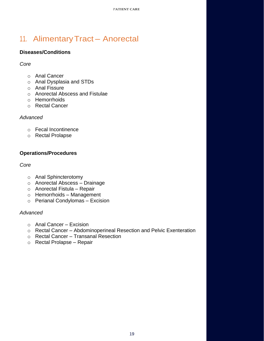# <span id="page-18-0"></span>11. AlimentaryTract – Anorectal

# **Diseases/Conditions**

*Core*

- o [Anal Cancer](https://www.surgicalcore.org/modulecontent.aspx?id=135579)
- o [Anal Dysplasia and STDs](https://www.surgicalcore.org/modulecontent.aspx?id=1000459)
- o [Anal Fissure](https://www.surgicalcore.org/modulecontent.aspx?id=130103)
- o [Anorectal Abscess and Fistulae](https://www.surgicalcore.org/modulecontent.aspx?id=130173)
- o [Hemorrhoids](https://www.surgicalcore.org/modulecontent.aspx?id=130010)
- o [Rectal Cancer](https://www.surgicalcore.org/modulecontent.aspx?id=130244)

### *Advanced*

- o [Fecal Incontinence](https://www.surgicalcore.org/modulecontent.aspx?id=264201)
- o [Rectal Prolapse](https://www.surgicalcore.org/modulecontent.aspx?id=164957)

# **Operations/Procedures**

*Core*

- o [Anal Sphincterotomy](https://www.surgicalcore.org/modulecontent.aspx?id=130512)
- o [Anorectal Abscess –](https://www.surgicalcore.org/modulecontent.aspx?id=130568) Drainage
- o [Anorectal Fistula –](https://www.surgicalcore.org/modulecontent.aspx?id=130637) Repair
- o [Hemorrhoids –](https://www.surgicalcore.org/modulecontent.aspx?id=1000460) Management
- o [Perianal Condylomas –](https://www.surgicalcore.org/modulecontent.aspx?id=167855) Excision

- $\circ$  [Anal Cancer –](https://www.surgicalcore.org/modulecontent.aspx?id=146816) Excision
- o Rectal Cancer [Abdominoperineal Resection and Pelvic Exenteration](https://www.surgicalcore.org/modulecontent.aspx?id=162148)
- o Rectal Cancer [Transanal Resection](https://www.surgicalcore.org/modulecontent.aspx?id=159462)
- o [Rectal Prolapse –](https://www.surgicalcore.org/modulecontent.aspx?id=146744) Repair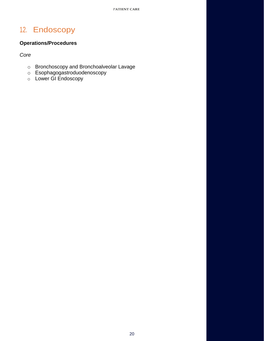# <span id="page-19-0"></span>12. Endoscopy

# **Operations/Procedures**

*Core*

- o [Bronchoscopy and Bronchoalveolar Lavage](https://www.surgicalcore.org/modulecontent.aspx?id=1000492)
- o [Esophagogastroduodenoscopy](https://www.surgicalcore.org/modulecontent.aspx?id=130707)
- o [Lower GI Endoscopy](https://www.surgicalcore.org/modulecontent.aspx?id=1000703)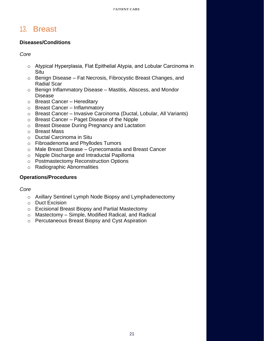# <span id="page-20-0"></span>13. Breast

# **Diseases/Conditions**

*Core*

- o [Atypical Hyperplasia, Flat Epithelial Atypia, and Lobu](https://www.surgicalcore.org/modulecontent.aspx?id=1000449)lar Carcinoma in [Situ](https://www.surgicalcore.org/modulecontent.aspx?id=1000450)
- o [Benig](https://www.surgicalcore.org/modulecontent.aspx?id=1000450)n Disease Fat Necrosis, Fibrocystic Breast Changes, and [Radial](https://www.surgicalcore.org/modulecontent.aspx?id=137613) Scar
- o [Benign Inflammatory Diseas](https://www.surgicalcore.org/modulecontent.aspx?id=138328)e Mastitis, Abscess, and Mondor [Disease](https://www.surgicalcore.org/modulecontent.aspx?id=137803)
- o [Breast Cancer –](https://www.surgicalcore.org/modulecontent.aspx?id=131350) Hereditary
- o [Breast Cancer –](https://www.surgicalcore.org/modulecontent.aspx?id=137880) Inflammatory
- o Breast Cancer [Invasive Carcinoma \(Ductal, Lob](https://www.surgicalcore.org/modulecontent.aspx?id=1000452)ular, All Variants)
- o [Breast Cance](https://www.surgicalcore.org/modulecontent.aspx?id=130978)r Paget Disease of the Nipple
- o [Breast Disease During Pr](https://www.surgicalcore.org/modulecontent.aspx?id=131466)egnancy and Lactation
- o [Breast Mass](https://www.surgicalcore.org/modulecontent.aspx?id=1000451)
- o [Ductal Carcinoma in Situ](https://www.surgicalcore.org/modulecontent.aspx?id=1000453)
- o [Fibroadenoma and Phyllodes Tumors](https://www.surgicalcore.org/modulecontent.aspx?id=1000454)
- o [Male Breast Disease –](https://www.surgicalcore.org/modulecontent.aspx?id=166980) Gynecomastia and Breast Cancer
- o [Nipple Discharge and Intradu](https://www.surgicalcore.org/modulecontent.aspx?id=1000136)ctal Papilloma
- o Postmastectomy Reconstruction Options
- o Radiographic Abnormalities

# **Operations/Procedures**

### *Core*

- o [Axillary Sentinel Lymph Node Biopsy and Lymphadenectomy](https://www.surgicalcore.org/modulecontent.aspx?id=131999)
- o [Duct Excision](https://www.surgicalcore.org/modulecontent.aspx?id=131727)
- o [Excisional Breast Biopsy and Partial Mastectomy](https://www.surgicalcore.org/modulecontent.aspx?id=1000455)
- o Mastectomy [Simple, Modified Radical, and Radical](https://www.surgicalcore.org/modulecontent.aspx?id=1000772)
- o [Percutaneous Breast Biopsy and Cyst Aspiration](https://www.surgicalcore.org/modulecontent.aspx?id=1000456)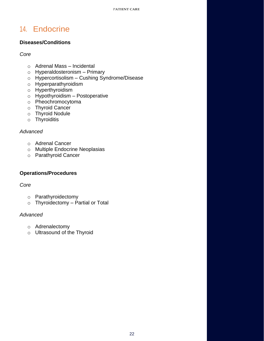# <span id="page-21-0"></span>14. Endocrine

# **Diseases/Conditions**

# *Core*

- o [Adrenal Mass –](https://www.surgicalcore.org/modulecontent.aspx?id=147129) Incidental
- o [Hyperaldosteronism –](https://www.surgicalcore.org/modulecontent.aspx?id=147238) Primary
- o Hypercortisolism [Cushing Syndrome/Disease](https://www.surgicalcore.org/modulecontent.aspx?id=147304)
- o [Hyperparathyroidism](https://www.surgicalcore.org/modulecontent.aspx?id=132347)
- o [Hyperthyroidism](https://www.surgicalcore.org/modulecontent.aspx?id=138713)
- $\circ$  [Hypothyroidism –](https://www.surgicalcore.org/modulecontent.aspx?id=138463) Postoperative
- o [Pheochromocytoma](https://www.surgicalcore.org/modulecontent.aspx?id=147187)
- o [Thyroid](https://www.surgicalcore.org/modulecontent.aspx?id=132220) Cancer
- o [Thyroid Nodule](https://www.surgicalcore.org/modulecontent.aspx?id=132153)
- o [Thyroiditis](https://www.surgicalcore.org/modulecontent.aspx?id=159534)

# *Advanced*

- o [Adrenal Cancer](https://www.surgicalcore.org/modulecontent.aspx?id=165135)
- o [Multiple Endocrine Neoplasias](https://www.surgicalcore.org/modulecontent.aspx?id=147004)
- o [Parathyroid Cancer](https://www.surgicalcore.org/modulecontent.aspx?id=159754)

# **Operations/Procedures**

# *Core*

- o [Parathyroidectomy](https://www.surgicalcore.org/modulecontent.aspx?id=1000787)
- o [Thyroidectomy –](https://www.surgicalcore.org/modulecontent.aspx?id=132409) Partial or Total

- o [Adrenalectomy](https://www.surgicalcore.org/modulecontent.aspx?id=147367)
- o [Ultrasound of the Thyroid](https://www.surgicalcore.org/modulecontent.aspx?id=167905)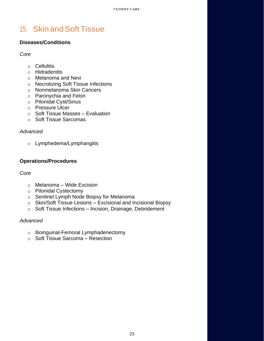# <span id="page-22-0"></span>15. Skin and Soft Tissue

# **Diseases/Conditions**

*Core*

- o [Cellulitis](https://www.surgicalcore.org/modulecontent.aspx?id=139953)
- o [Hidradenitis](https://www.surgicalcore.org/modulecontent.aspx?id=139900)
- o [Melanoma and Nevi](https://www.surgicalcore.org/modulecontent.aspx?id=139404)
- o [Necrotizing Soft Tissue Infections](https://www.surgicalcore.org/modulecontent.aspx?id=140003)
- o [Nonmelanoma Skin Cancers](https://www.surgicalcore.org/modulecontent.aspx?id=1000461)
- o [Paronychia and Felon](https://www.surgicalcore.org/modulecontent.aspx?id=140076)
- o [Pilonidal Cyst/Sinus](https://www.surgicalcore.org/modulecontent.aspx?id=132572)
- o [Pressure Ulcer](https://www.surgicalcore.org/modulecontent.aspx?id=159798)
- $\circ$  [Soft Tissue Masses –](https://www.surgicalcore.org/modulecontent.aspx?id=139636) Evaluation
- o [Soft Tissue Sarcomas](https://www.surgicalcore.org/modulecontent.aspx?id=1000462)

### *Advanced*

o [Lymphedema/Lymphangitis](https://www.surgicalcore.org/modulecontent.aspx?id=147566)

### **Operations/Procedures**

### *Core*

- o Melanoma [Wide Excision](https://www.surgicalcore.org/modulecontent.aspx?id=147686)
- o [Pilonidal Cystectomy](https://www.surgicalcore.org/modulecontent.aspx?id=134401)
- o [Sentinel Lymph Node Biopsy for Melanoma](https://www.surgicalcore.org/modulecontent.aspx?id=165249)
- o Skin/Soft Tissue Lesions [Excisional and Incisional Biopsy](https://www.surgicalcore.org/modulecontent.aspx?id=132645)
- o Soft Tissue Infections [Incision, Drainage, Debridement](https://www.surgicalcore.org/modulecontent.aspx?id=132697)

- o [Ilioinguinal-Femoral Lymphadenectomy](https://www.surgicalcore.org/modulecontent.aspx?id=165178)
- o [Soft Tissue Sarcoma –](https://www.surgicalcore.org/modulecontent.aspx?id=147641) Resection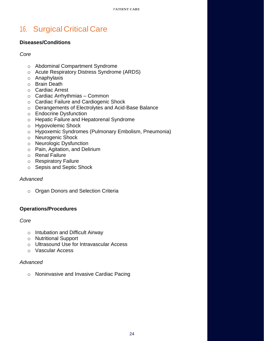# <span id="page-23-0"></span>16. Surgical Critical Care

### **Diseases/Conditions**

### *Core*

- o [Abdominal Compartment Syndrome](https://www.surgicalcore.org/modulecontent.aspx?id=168371)
- o [Acute Respiratory Distress Syndrome \(ARDS\)](https://www.surgicalcore.org/modulecontent.aspx?id=1000508)
- o [Anaphylaxis](https://www.surgicalcore.org/modulecontent.aspx?id=140999)
- o [Brain Death](https://www.surgicalcore.org/modulecontent.aspx?id=168546)
- o [Cardiac Arrest](https://www.surgicalcore.org/modulecontent.aspx?id=1000513)
- o [Cardiac Arrhythmias –](https://www.surgicalcore.org/modulecontent.aspx?id=151891) Common
- o [Cardiac Failure and Cardiogenic Shock](https://www.surgicalcore.org/modulecontent.aspx?id=1000532)
- o [Derangements of Electrolytes and Acid-Base Balance](https://www.surgicalcore.org/modulecontent.aspx?id=140947)
- o [Endocrine Dysfunction](https://www.surgicalcore.org/modulecontent.aspx?id=140885)
- o [Hepatic Failure and Hepatorenal Syndrome](https://www.surgicalcore.org/modulecontent.aspx?id=164515)
- o [Hypovolemic Shock](https://www.surgicalcore.org/modulecontent.aspx?id=140212)
- o [Hypoxemic Syndromes \(Pulmonary Embolism, Pneumonia\)](https://www.surgicalcore.org/modulecontent.aspx?id=1000549)
- o [Neurogenic Shock](https://www.surgicalcore.org/modulecontent.aspx?id=140402)
- o [Neurologic Dysfunction](https://www.surgicalcore.org/modulecontent.aspx?id=140833)
- o [Pain, Agitation, and Delirium](https://www.surgicalcore.org/modulecontent.aspx?id=153388)
- o [Renal Failure](https://www.surgicalcore.org/modulecontent.aspx?id=140716)
- o [Respiratory Failure](https://www.surgicalcore.org/modulecontent.aspx?id=1000509)
- o [Sepsis and Septic Shock](https://www.surgicalcore.org/modulecontent.aspx?id=1000511)

### *Advanced*

o [Organ Donors and Selection Criteria](https://www.surgicalcore.org/modulecontent.aspx?id=152019)

# **Operations/Procedures**

### *Core*

- o [Intubation and Difficult Airway](https://www.surgicalcore.org/modulecontent.aspx?id=1000498)
- o [Nutritional Support](https://www.surgicalcore.org/modulecontent.aspx?id=168169)
- o [Ultrasound Use for Intravascular Access](https://www.surgicalcore.org/modulecontent.aspx?id=163873)
- o [Vascular Access](https://www.surgicalcore.org/modulecontent.aspx?id=1000512)

### *Advanced*

o [Noninvasive and Invasive Cardiac Pacing](https://www.surgicalcore.org/modulecontent.aspx?id=1000533)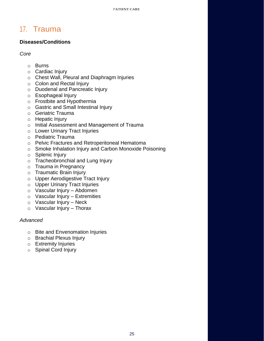# <span id="page-24-0"></span>17. Trauma

# **Diseases/Conditions**

*Core*

- o [Burns](https://www.surgicalcore.org/modulecontent.aspx?id=1000539)
- o [Cardiac Injury](https://www.surgicalcore.org/modulecontent.aspx?id=1000465)
- o [Chest Wall, Pleural and Diaphragm Injuries](https://www.surgicalcore.org/modulecontent.aspx?id=1000470)
- o Colon [and Rectal Injury](https://www.surgicalcore.org/modulecontent.aspx?id=133187)
- o [Duodenal and Pancreatic Injury](https://www.surgicalcore.org/modulecontent.aspx?id=1000527)
- o [Esophageal Injury](https://www.surgicalcore.org/modulecontent.aspx?id=142276)
- o [Frostbite and Hypothermia](https://www.surgicalcore.org/modulecontent.aspx?id=147972)
- o [Gastric and Small Intestinal Injury](https://www.surgicalcore.org/modulecontent.aspx?id=1000469)
- o [Geriatric Trauma](https://www.surgicalcore.org/modulecontent.aspx?id=143218)
- o [Hepatic Injury](https://www.surgicalcore.org/modulecontent.aspx?id=133048)
- o [Initial Assessment and Management of Trauma](https://www.surgicalcore.org/modulecontent.aspx?id=1000540)
- o [Lower Urinary Tract Injuries](https://www.surgicalcore.org/modulecontent.aspx?id=1000563)
- o [Pediatric Trauma](https://www.surgicalcore.org/modulecontent.aspx?id=143135)
- o [Pelvic Fractures and Retroperitoneal Hematoma](https://www.surgicalcore.org/modulecontent.aspx?id=1000542)
- o [Smoke Inhalation Injury and Carbon Monoxide Poisoning](https://www.surgicalcore.org/modulecontent.aspx?id=148198)
- o [Splenic Injury](https://www.surgicalcore.org/modulecontent.aspx?id=132969)
- o [Tracheobronchial and Lung Injury](https://www.surgicalcore.org/modulecontent.aspx?id=1000541)
- o [Trauma in Pregnancy](https://www.surgicalcore.org/modulecontent.aspx?id=143282)
- o Traumatic [Brain Injury](https://www.surgicalcore.org/modulecontent.aspx?id=147750)
- o [Upper Aerodigestive Tract Injury](https://www.surgicalcore.org/modulecontent.aspx?id=1000205)
- o [Upper Urinary Tract Injuries](https://www.surgicalcore.org/modulecontent.aspx?id=1000562)
- o [Vascular Injury –](https://www.surgicalcore.org/modulecontent.aspx?id=142996) Abdomen
- $\circ$  [Vascular Injury –](https://www.surgicalcore.org/modulecontent.aspx?id=143063) Extremities
- $\circ$  [Vascular Injury –](https://www.surgicalcore.org/modulecontent.aspx?id=141425) Neck
- $\circ$  [Vascular Injury –](https://www.surgicalcore.org/modulecontent.aspx?id=142928) Thorax

- o [Bite and Envenomation Injuries](https://www.surgicalcore.org/modulecontent.aspx?id=1000551)
- o [Brachial Plexus Injury](https://www.surgicalcore.org/modulecontent.aspx?id=148198)
- o [Extremity Injuries](https://www.surgicalcore.org/modulecontent.aspx?id=1000464)
- o [Spinal Cord Injury](https://www.surgicalcore.org/modulecontent.aspx?id=264434)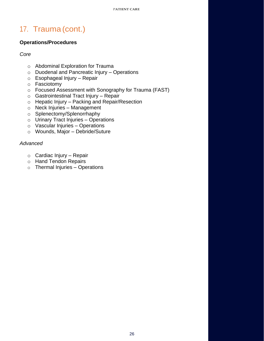# 17. Trauma (cont.)

# **Operations/Procedures**

### *Core*

- o [Abdominal Exploration for Trauma](https://www.surgicalcore.org/modulecontent.aspx?id=1000552)
- o [Duodenal and Pancreatic Injury –](https://www.surgicalcore.org/modulecontent.aspx?id=1000463) Operations
- o [Esophageal Injury –](https://www.surgicalcore.org/modulecontent.aspx?id=148324) Repair
- o [Fasciotomy](https://www.surgicalcore.org/modulecontent.aspx?id=149414)
- o [Focused Assessment with Sonography for Trauma \(FAST\)](https://www.surgicalcore.org/modulecontent.aspx?id=168489)
- $\circ$  [Gastrointestinal Tract Injury –](https://www.surgicalcore.org/modulecontent.aspx?id=165327) Repair
- o Hepatic Injury [Packing and Repair/Resection](https://www.surgicalcore.org/modulecontent.aspx?id=1000543)
- o [Neck Injuries –](https://www.surgicalcore.org/modulecontent.aspx?id=1000468) Management
- o [Splenectomy/Splenorrhaphy](https://www.surgicalcore.org/modulecontent.aspx?id=148870)
- $\circ$  [Urinary Tract Injuries –](https://www.surgicalcore.org/modulecontent.aspx?id=1000564) Operations
- o [Vascular Injuries –](https://www.surgicalcore.org/modulecontent.aspx?id=1000529) Operations
- o [Wounds, Major –](https://www.surgicalcore.org/modulecontent.aspx?id=149102) Debride/Suture

- o [Cardiac Injury](https://www.surgicalcore.org/modulecontent.aspx?id=149481) Repair
- o [Hand Tendon Repairs](https://www.surgicalcore.org/modulecontent.aspx?id=162436)
- $\circ$  [Thermal Injuries –](https://www.surgicalcore.org/modulecontent.aspx?id=1000467) Operations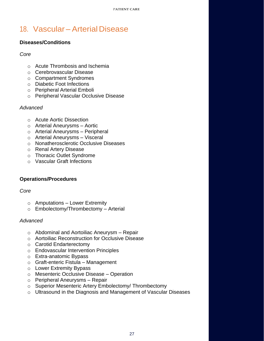# <span id="page-26-0"></span>18. Vascular – Arterial Disease

# **Diseases/Conditions**

### *Core*

- o [Acute Thrombosis and Ischemia](https://www.surgicalcore.org/modulecontent.aspx?id=1000536)
- o [Cerebrovascular Disease](https://www.surgicalcore.org/modulecontent.aspx?id=149545)
- o [Compartment Syndromes](https://www.surgicalcore.org/modulecontent.aspx?id=143320)
- o [Diabetic Foot Infections](https://www.surgicalcore.org/modulecontent.aspx?id=143379)
- o [Peripheral Arterial Emboli](https://www.surgicalcore.org/modulecontent.aspx?id=133368)
- o [Peripheral Vascular Occlusive Disease](https://www.surgicalcore.org/modulecontent.aspx?id=1000547)

# *Advanced*

- o [Acute Aortic Dissection](https://www.surgicalcore.org/modulecontent.aspx?id=1000130)
- o [Arterial Aneurysms –](https://www.surgicalcore.org/modulecontent.aspx?id=149875) Aortic
- o [Arterial Aneurysms –](https://www.surgicalcore.org/modulecontent.aspx?id=149943) Peripheral
- o [Arterial Aneurysms –](https://www.surgicalcore.org/modulecontent.aspx?id=263873) Visceral
- o [Nonatherosclerotic Occlusive Diseases](https://www.surgicalcore.org/modulecontent.aspx?id=263783)
- o [Renal Artery Disease](https://www.surgicalcore.org/modulecontent.aspx?id=165638)
- o [Thoracic Outlet Syndrome](https://www.surgicalcore.org/modulecontent.aspx?id=165804)
- o [Vascular Graft Infections](https://www.surgicalcore.org/modulecontent.aspx?id=165744)

# **Operations/Procedures**

### *Core*

- $\circ$  Amputations [Lower Extremity](https://www.surgicalcore.org/modulecontent.aspx?id=150635)
- o [Embolectomy/Thrombectomy –](https://www.surgicalcore.org/modulecontent.aspx?id=150556) Arterial

- o [Abdominal and Aortoiliac Aneurysm –](https://www.surgicalcore.org/modulecontent.aspx?id=1000548) Repair
- o [Aortoiliac Reconstruction for Occlusive Disease](https://www.surgicalcore.org/modulecontent.aspx?id=1000537)
- o [Carotid Endarterectomy](https://www.surgicalcore.org/modulecontent.aspx?id=150413)
- o [Endovascular Intervention Principles](https://www.surgicalcore.org/modulecontent.aspx?id=166146)
- o [Extra-anatomic Bypass](https://www.surgicalcore.org/modulecontent.aspx?id=165949)
- o [Graft-enteric Fistula –](https://www.surgicalcore.org/modulecontent.aspx?id=264094) Management
- o [Lower Extremity Bypass](https://www.surgicalcore.org/modulecontent.aspx?id=1000771)
- o [Mesenteric Occlusive Disease –](https://www.surgicalcore.org/modulecontent.aspx?id=264033) Operation
- o [Peripheral Aneurysms –](https://www.surgicalcore.org/modulecontent.aspx?id=1000538) Repair
- o [Superior Mesenteric Artery Embolectomy/ Thrombectomy](https://www.surgicalcore.org/modulecontent.aspx?id=146472)
- o [Ultrasound in the Diagnosis and Management of Vascular Diseases](https://www.surgicalcore.org/modulecontent.aspx?id=166093)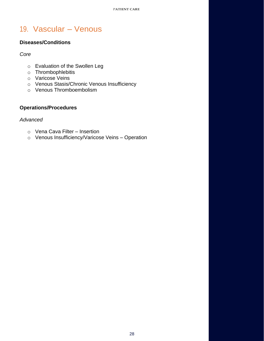# <span id="page-27-0"></span>19. Vascular – Venous

### **Diseases/Conditions**

*Core*

- o [Evaluation of the Swollen Leg](https://www.surgicalcore.org/modulecontent.aspx?id=1000531)
- o [Thrombophlebitis](https://www.surgicalcore.org/modulecontent.aspx?id=143442)
- o [Varicose Veins](https://www.surgicalcore.org/modulecontent.aspx?id=143575)
- o [Venous Stasis/Chronic Venous Insufficiency](https://www.surgicalcore.org/modulecontent.aspx?id=143500)
- o [Venous Thromboembolism](https://www.surgicalcore.org/modulecontent.aspx?id=133538)

# **Operations/Procedures**

- o [Vena Cava Filter –](https://www.surgicalcore.org/modulecontent.aspx?id=134647) Insertion
- o [Venous Insufficiency/Varicose Veins –](https://www.surgicalcore.org/modulecontent.aspx?id=1000494) Operation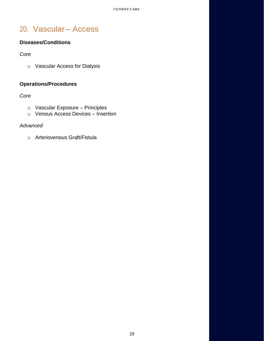# <span id="page-28-0"></span>20. Vascular– Access

# **Diseases/Conditions**

*Core*

o [Vascular Access for Dialysis](https://www.surgicalcore.org/modulecontent.aspx?id=133775)

# **Operations/Procedures**

# *Core*

- o [Vascular Exposure –](https://www.surgicalcore.org/modulecontent.aspx?id=1000546) Principles
- o [Venous Access Devices –](https://www.surgicalcore.org/modulecontent.aspx?id=163653) Insertion

### *Advanced*

o [Arteriovenous Graft/Fistula](https://www.surgicalcore.org/modulecontent.aspx?id=133899)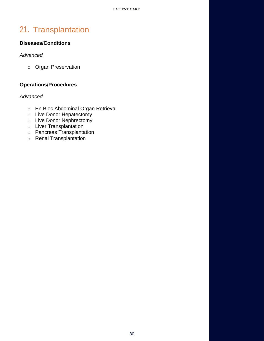# <span id="page-29-0"></span>21. Transplantation

# **Diseases/Conditions**

### *Advanced*

o [Organ Preservation](https://www.surgicalcore.org/modulecontent.aspx?id=1000150)

# **Operations/Procedures**

- o [En Bloc Abdominal Organ Retrieval](https://www.surgicalcore.org/modulecontent.aspx?id=1000139)
- o [Live Donor Hepatectomy](https://www.surgicalcore.org/modulecontent.aspx?id=1000141)
- o [Live Donor Nephrectomy](https://www.surgicalcore.org/modulecontent.aspx?id=1000152)
- o [Liver Transplantation](https://www.surgicalcore.org/modulecontent.aspx?id=1000140)
- o Pancreas [Transplantation](https://www.surgicalcore.org/modulecontent.aspx?id=1000147)
- o [Renal Transplantation](https://www.surgicalcore.org/modulecontent.aspx?id=1000148)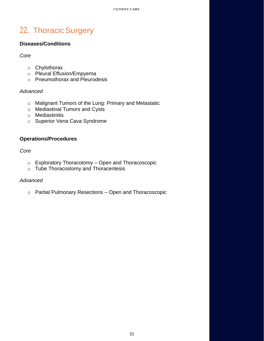# <span id="page-30-0"></span>22. Thoracic Surgery

# **Diseases/Conditions**

*Core*

- o [Chylothorax](https://www.surgicalcore.org/modulecontent.aspx?id=1000144)
- o [Pleural Effusion/Empyema](https://www.surgicalcore.org/modulecontent.aspx?id=141219)
- o [Pneumothorax and Pleurodesis](https://www.surgicalcore.org/modulecontent.aspx?id=1000495)

### *Advanced*

- o [Malignant Tumors of the Lung: Primary and Metastatic](https://www.surgicalcore.org/modulecontent.aspx?id=1000501)
- o [Mediastinal Tumors and Cysts](https://www.surgicalcore.org/modulecontent.aspx?id=166280)
- o [Mediastinitis](https://www.surgicalcore.org/modulecontent.aspx?id=1000142)
- o [Superior Vena Cava Syndrome](https://www.surgicalcore.org/modulecontent.aspx?id=166342)

### **Operations/Procedures**

*Core*

- o [Exploratory Thoracotomy –](https://www.surgicalcore.org/modulecontent.aspx?id=1000507) Open and Thoracoscopic
- o [Tube Thoracostomy and Thoracentesis](https://www.surgicalcore.org/modulecontent.aspx?id=1000528)

### *Advanced*

o [Partial Pulmonary Resections –](https://www.surgicalcore.org/modulecontent.aspx?id=160663) Open and Thoracoscopic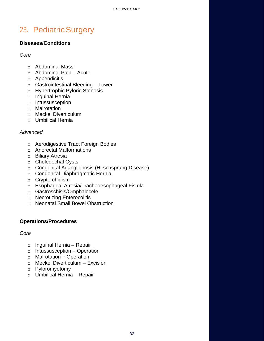# <span id="page-31-0"></span>23. Pediatric Surgery

### **Diseases/Conditions**

*Core*

- o [Abdominal Mass](https://www.surgicalcore.org/modulecontent.aspx?id=1000535)
- $\circ$  [Abdominal Pain –](https://www.surgicalcore.org/modulecontent.aspx?id=1000179) Acute
- o [Appendicitis](https://www.surgicalcore.org/modulecontent.aspx?id=1000530)
- o [Gastrointestinal Bleeding –](https://www.surgicalcore.org/modulecontent.aspx?id=1000180) Lower
- o [Hypertrophic Pyloric Stenosis](https://www.surgicalcore.org/modulecontent.aspx?id=134169)
- o [Inguinal Hernia](https://www.surgicalcore.org/modulecontent.aspx?id=134100)
- o [Intussusception](https://www.surgicalcore.org/modulecontent.aspx?id=139267)
- o [Malrotation](https://www.surgicalcore.org/modulecontent.aspx?id=139197)
- o [Meckel Diverticulum](https://www.surgicalcore.org/modulecontent.aspx?id=139337)
- o [Umbilical Hernia](https://www.surgicalcore.org/modulecontent.aspx?id=139140)

### *Advanced*

- o [Aerodigestive Tract Foreign Bodies](https://www.surgicalcore.org/modulecontent.aspx?id=139060)
- o [Anorectal Malformations](http://www.surgicalcore.org/modulecontent.aspx?id=162853)
- o [Biliary Atresia](https://www.surgicalcore.org/modulecontent.aspx?id=162913)
- o [Choledochal Cysts](https://www.surgicalcore.org/modulecontent.aspx?id=162963)
- o [Congenital Aganglionosis \(Hirschsprung Disease\)](http://www.surgicalcore.org/modulecontent.aspx?id=166661)
- o [Congenital Diaphragmatic Hernia](http://www.surgicalcore.org/modulecontent.aspx?id=162797)
- o [Cryptorchidism](http://www.surgicalcore.org/modulecontent.aspx?id=166707)
- o [Esophageal Atresia/Tracheoesophageal Fistula](http://www.surgicalcore.org/modulecontent.aspx?id=162748)
- o [Gastroschisis/Omphalocele](http://www.surgicalcore.org/modulecontent.aspx?id=166536)
- o Necrotizing [Enterocolitis](http://www.surgicalcore.org/modulecontent.aspx?id=1000176)
- o [Neonatal Small Bowel Obstruction](http://www.surgicalcore.org/modulecontent.aspx?id=1000496)

### **Operations/Procedures**

### *Core*

- o [Inguinal Hernia –](http://www.surgicalcore.org/modulecontent.aspx?id=134353) Repair
- $\circ$  [Intussusception –](http://www.surgicalcore.org/modulecontent.aspx?id=151218) Operation
- o [Malrotation –](http://www.surgicalcore.org/modulecontent.aspx?id=151137) Operation
- o [Meckel Diverticulum –](http://www.surgicalcore.org/modulecontent.aspx?id=1000151) Excision
- o [Pyloromyotomy](http://www.surgicalcore.org/modulecontent.aspx?id=151071)
- o [Umbilical Hernia –](http://www.surgicalcore.org/modulecontent.aspx?id=134589) Repair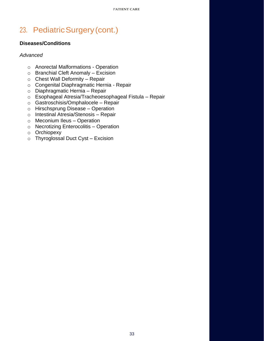# 23. PediatricSurgery(cont.)

# **Diseases/Conditions**

- o [Anorectal Malformations -](http://www.surgicalcore.org/modulecontent.aspx?id=163264) Operation
- o [Branchial Cleft Anomaly –](http://www.surgicalcore.org/modulecontent.aspx?id=163025) Excision
- o [Chest Wall Deformity –](http://www.surgicalcore.org/modulecontent.aspx?id=1000175) Repair
- o [Congenital Diaphragmatic Hernia -](http://www.surgicalcore.org/modulecontent.aspx?id=163145) Repair
- o [Diaphragmatic Hernia –](https://www.surgicalcore.org/modulecontent.aspx?id=166474) Repair
- o [Esophageal Atresia/Tracheoesophageal Fistula –](http://www.surgicalcore.org/modulecontent.aspx?id=163331) Repair
- o [Gastroschisis/Omphalocele –](http://www.surgicalcore.org/modulecontent.aspx?id=166927) Repair
- o [Hirschsprung Disease –](http://www.surgicalcore.org/modulecontent.aspx?id=168935) Operation
- o [Intestinal Atresia/Stenosis –](http://www.surgicalcore.org/modulecontent.aspx?id=163088) Repair
- o [Meconium Ileus –](http://www.surgicalcore.org/modulecontent.aspx?id=1000477) Operation
- o [Necrotizing Enterocolitis –](http://www.surgicalcore.org/modulecontent.aspx?id=1000177) Operation
- o [Orchiopexy](http://www.surgicalcore.org/modulecontent.aspx?id=166863)
- o [Thyroglossal Duct Cyst –](http://www.surgicalcore.org/modulecontent.aspx?id=151018) Excision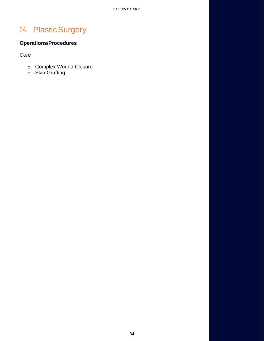# <span id="page-33-0"></span>24. Plastic Surgery

# **Operations/Procedures**

*Core*

- o [Complex Wound Closure](https://www.surgicalcore.org/modulecontent.aspx?id=168852)
- o [Skin Grafting](https://www.surgicalcore.org/modulecontent.aspx?id=134236)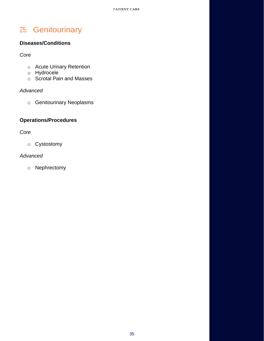# <span id="page-34-0"></span>25. Genitourinary

# **Diseases/Conditions**

*Core*

- o [Acute Urinary Retention](https://www.surgicalcore.org/modulecontent.aspx?id=160175)
- o [Hydrocele](https://www.surgicalcore.org/modulecontent.aspx?id=1000510)
- o [Scrotal Pain and Masses](https://www.surgicalcore.org/modulecontent.aspx?id=1000502)

### *Advanced*

o [Genitourinary Neoplasms](http://www.surgicalcore.org/modulecontent.aspx?id=160289)

# **Operations/Procedures**

*Core*

o [Cystostomy](https://www.surgicalcore.org/modulecontent.aspx?id=151513)

# *Advanced*

o [Nephrectomy](https://www.surgicalcore.org/modulecontent.aspx?id=151435)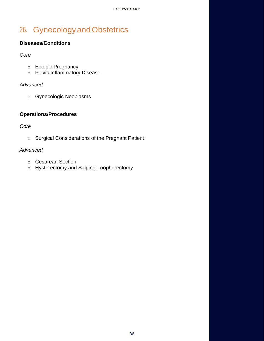# <span id="page-35-0"></span>26. GynecologyandObstetrics

# **Diseases/Conditions**

*Core*

- o [Ectopic Pregnancy](https://www.surgicalcore.org/modulecontent.aspx?id=138772)
- o [Pelvic Inflammatory Disease](https://www.surgicalcore.org/modulecontent.aspx?id=138818)

### *Advanced*

o [Gynecologic Neoplasms](https://www.surgicalcore.org/modulecontent.aspx?id=1000558)

# **Operations/Procedures**

*Core*

o [Surgical Considerations of the Pregnant Patient](https://www.surgicalcore.org/modulecontent.aspx?id=1000476)

- o [Cesarean Section](https://www.surgicalcore.org/modulecontent.aspx?id=160350)
- o [Hysterectomy and Salpingo-oophorectomy](https://www.surgicalcore.org/modulecontent.aspx?id=1000559)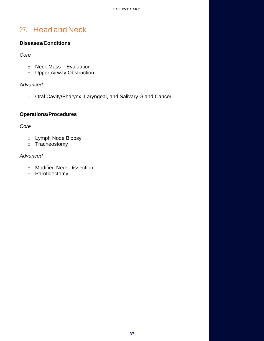# <span id="page-36-0"></span>27. HeadandNeck

# **Diseases/Conditions**

### *Core*

- o [Neck Mass –](https://www.surgicalcore.org/modulecontent.aspx?id=138899) Evaluation
- o [Upper Airway Obstruction](https://www.surgicalcore.org/modulecontent.aspx?id=138946)

### *Advanced*

o [Oral Cavity/Pharynx, Laryngeal, and Salivary Gland](https://www.surgicalcore.org/modulecontent.aspx?id=163466) Cancer

# **Operations/Procedures**

*Core*

- o [Lymph Node Biopsy](https://www.surgicalcore.org/modulecontent.aspx?id=168677)
- o [Tracheostomy](https://www.surgicalcore.org/modulecontent.aspx?id=1000479)

- o [Modified Neck Dissection](https://www.surgicalcore.org/modulecontent.aspx?id=160424)
- o [Parotidectomy](https://www.surgicalcore.org/modulecontent.aspx?id=163538)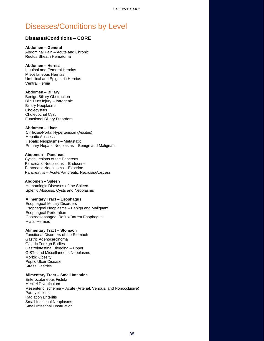#### <span id="page-37-0"></span>**Diseases/Conditions – CORE**

#### **Abdomen – General**

Abdominal Pain – Acute and Chronic Rectus Sheath Hematoma

#### **Abdomen – Hernia**

Inguinal and Femoral Hernias Miscellaneous Hernias Umbilical and Epigastric Hernias Ventral Hernia

#### **Abdomen – Biliary**

Benign Biliary Obstruction Bile Duct Injury – Iatrogenic Biliary Neoplasms **Cholecystitis** Choledochal Cyst Functional Biliary Disorders

#### **Abdomen – Liver**

Cirrhosis/Portal Hypertension (Ascites) Hepatic Abscess Hepatic Neoplasms – Metastatic Primary Hepatic Neoplasms – Benign and Malignant

#### **Abdomen – Pancreas**

Cystic Lesions of the Pancreas Pancreatic Neoplasms – Endocrine Pancreatic Neoplasms – Exocrine Pancreatitis – Acute/Pancreatic Necrosis/Abscess

#### **Abdomen – Spleen**

Hematologic Diseases of the Spleen Splenic Abscess, Cysts and Neoplasms

#### **Alimentary Tract – Esophagus**

Esophageal Motility Disorders Esophageal Neoplasms – Benign and Malignant Esophageal Perforation Gastroesophageal Reflux/Barrett Esophagus Hiatal Hernias

#### **Alimentary Tract – Stomach**

Functional Disorders of the Stomach Gastric Adenocarcinoma Gastric Foreign Bodies Gastrointestinal Bleeding – Upper GISTs and Miscellaneous Neoplasms Morbid Obesity Peptic Ulcer Disease Stress Gastritis

#### **Alimentary Tract – Small Intestine**

Enterocutaneous Fistula Meckel Diverticulum Mesenteric Ischemia – Acute (Arterial, Venous, and Nonocclusive) Paralytic Ileus Radiation Enteritis Small Intestinal Neoplasms Small Intestinal Obstruction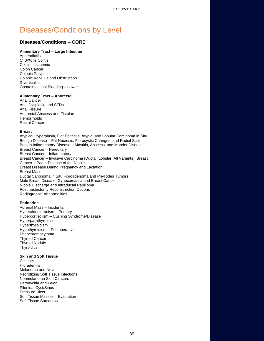#### **Diseases/Conditions – CORE**

#### **Alimentary Tract – Large Intestine**

**Appendicitis** *C. difficile* Colitis Colitis – Ischemic Colon Cancer Colonic Polyps Colonic Volvulus and Obstruction **Diverticulitis** Gastrointestinal Bleeding – Lower

#### **Alimentary Tract – Anorectal**

Anal Cancer Anal Dysplasia and STDs Anal Fissure Anorectal Abscess and Fistulae **Hemorrhoids** Rectal Cancer

#### **Breast**

Atypical Hyperplasia, Flat Epithelial Atypia, and Lobular Carcinoma in Situ Benign Disease – Fat Necrosis, Fibrocystic Changes, and Radial Scar Benign Inflammatory Disease – Mastitis, Abscess, and Mondor Disease Breast Cancer – Hereditary Breast Cancer – Inflammatory Breast Cancer – Invasive Carcinoma (Ductal, Lobular, All Variants) Breast Cancer – Paget Disease of the Nipple Breast Disease During Pregnancy and Lactation Breast Mass Ductal Carcinoma in Situ Fibroadenoma and Phyllodes Tumors Male Breast Disease: Gynecomastia and Breast Cancer Nipple Discharge and Intraductal Papilloma Postmastectomy Reconstruction Options Radiographic Abnormalities

#### **Endocrine**

Adrenal Mass – Incidental Hyperaldosteronism – Primary Hypercortisolism – Cushing Syndrome/Disease Hyperparathyroidism **Hyperthyroidism** Hypothyroidism – Postoperative Pheochromocytoma Thyroid Cancer Thyroid Nodule **Thyroiditis** 

#### **Skin and Soft Tissue**

**Cellulitis Hidradenitis** Melanoma and Nevi Necrotizing Soft Tissue Infections Nonmelanoma Skin Cancers Paronychia and Felon Pilonidal Cyst/Sinus Pressure Ulcer Soft Tissue Masses – Evaluation Soft Tissue Sarcomas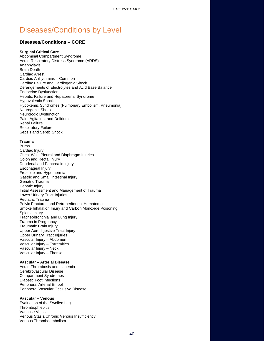#### **Diseases/Conditions – CORE**

#### **Surgical Critical Care**

Abdominal Compartment Syndrome Acute Respiratory Distress Syndrome (ARDS) Anaphylaxis Brain Death Cardiac Arrest Cardiac Arrhythmias – Common Cardiac Failure and Cardiogenic Shock Derangements of Electrolytes and Acid Base Balance Endocrine Dysfunction Hepatic Failure and Hepatorenal Syndrome Hypovolemic Shock Hypoxemic Syndromes (Pulmonary Embolism, Pneumonia) Neurogenic Shock Neurologic Dysfunction Pain, Agitation, and Delirium Renal Failure Respiratory Failure Sepsis and Septic Shock

#### **Trauma**

**Burns** Cardiac Injury Chest Wall, Pleural and Diaphragm Injuries Colon and Rectal Injury Duodenal and Pancreatic Injury Esophageal Injury Frostbite and Hypothermia Gastric and Small Intestinal Injury Geriatric Trauma Hepatic Injury Initial Assessment and Management of Trauma Lower Urinary Tract Injuries Pediatric Trauma Pelvic Fractures and Retroperitoneal Hematoma Smoke Inhalation Injury and Carbon Monoxide Poisoning Splenic Injury Tracheobronchial and Lung Injury Trauma in Pregnancy Traumatic Brain Injury Upper Aerodigestive Tract Injury Upper Urinary Tract Injuries Vascular Injury – Abdomen Vascular Injury – Extremities Vascular Injury – Neck Vascular Injury – Thorax

#### **Vascular – Arterial Disease**

Acute Thrombosis and Ischemia Cerebrovascular Disease Compartment Syndromes Diabetic Foot Infections Peripheral Arterial Emboli Peripheral Vascular Occlusive Disease

#### **Vascular – Venous**

Evaluation of the Swollen Leg **Thrombophlebitis** Varicose Veins Venous Stasis/Chronic Venous Insufficiency Venous Thromboembolism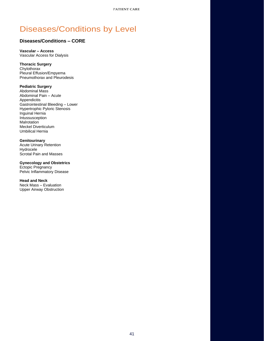### **Diseases/Conditions – CORE**

**Vascular – Access** Vascular Access for Dialysis

#### **Thoracic Surgery**

**Chylothorax** Pleural Effusion/Empyema Pneumothorax and Pleurodesis

#### **Pediatric Surgery**

Abdominal Mass Abdominal Pain – Acute **Appendicitis** Gastrointestinal Bleeding – Lower Hypertrophic Pyloric Stenosis Inguinal Hernia Intussusception **Malrotation** Meckel Diverticulum Umbilical Hernia

#### **Genitourinary**

Acute Urinary Retention Hydrocele Scrotal Pain and Masses

#### **Gynecology and Obstetrics**

Ectopic Pregnancy Pelvic Inflammatory Disease

#### **Head and Neck**

Neck Mass – Evaluation Upper Airway Obstruction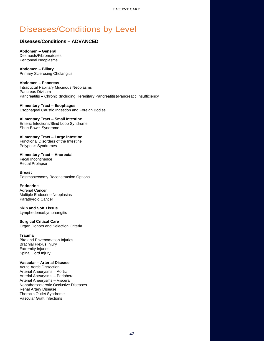### <span id="page-41-0"></span>**Diseases/Conditions – ADVANCED**

**Abdomen – General** Desmoids/Fibromatoses Peritoneal Neoplasms

**Abdomen – Biliary** Primary Sclerosing Cholangitis

**Abdomen – Pancreas** Intraductal Papillary Mucinous Neoplasms Pancreas Divisum Pancreatitis – Chronic (Including Hereditary Pancreatitis)/Pancreatic Insufficiency

**Alimentary Tract – Esophagus** Esophageal Caustic Ingestion and Foreign Bodies

**Alimentary Tract – Small Intestine**  Enteric Infections/Blind Loop Syndrome Short Bowel Syndrome

**Alimentary Tract – Large Intestine**  Functional Disorders of the Intestine Polyposis Syndromes

**Alimentary Tract – Anorectal** Fecal Incontinence Rectal Prolapse

**Breast** Postmastectomy Reconstruction Options

#### **Endocrine**

Adrenal Cancer Multiple Endocrine Neoplasias Parathyroid Cancer

**Skin and Soft Tissue**

Lymphedema/Lymphangitis

**Surgical Critical Care**

Organ Donors and Selection Criteria

#### **Trauma**

Bite and Envenomation Injuries Brachial Plexus Injury Extremity Injuries Spinal Cord Injury

#### **Vascular – Arterial Disease**

Acute Aortic Dissection Arterial Aneurysms – Aortic Arterial Aneurysms – Peripheral Arterial Aneurysms – Visceral Nonatherosclerotic Occlusive Diseases Renal Artery Disease Thoracic Outlet Syndrome Vascular Graft Infections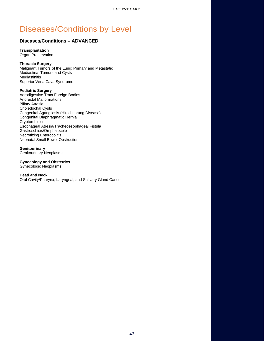#### **Diseases/Conditions – ADVANCED**

# **Transplantation**

Organ Preservation

#### **Thoracic Surgery**

Malignant Tumors of the Lung: Primary and Metastatic Mediastinal Tumors and Cysts Mediastinitis Superior Vena Cava Syndrome

#### **Pediatric Surgery**

Aerodigestive Tract Foreign Bodies Anorectal Malformations Biliary Atresia Choledochal Cysts Congenital Agangliosis (Hirschsprung Disease) Congenital Diaphragmatic Hernia Cryptorchidism Esophageal Atresia/Tracheoesophageal Fistula Gastroschisis/Omphalocele Necrotizing Enterocolitis Neonatal Small Bowel Obstruction

#### **Genitourinary**

Genitourinary Neoplasms

#### **Gynecology and Obstetrics**

Gynecologic Neoplasms

#### **Head and Neck**

Oral Cavity/Pharynx, Laryngeal, and Salivary Gland Cancer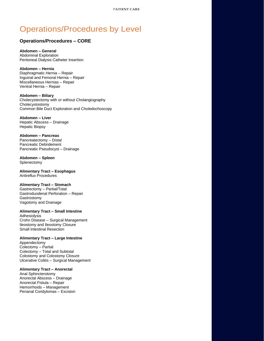#### <span id="page-43-0"></span>**Operations/Procedures – CORE**

**Abdomen – General** Abdominal Exploration Peritoneal Dialysis Catheter Insertion

**Abdomen – Hernia** Diaphragmatic Hernia – Repair Inguinal and Femoral Hernia – Repair Miscellaneous Hernias – Repair Ventral Hernia – Repair

**Abdomen – Biliary** Cholecystectomy with or without Cholangiography Cholecystostomy Common Bile Duct Exploration and Choledochoscopy

**Abdomen – Liver** Hepatic Abscess – Drainage Hepatic Biopsy

**Abdomen – Pancreas**  Pancreatectomy – Distal Pancreatic Debridement Pancreatic Pseudocyst – Drainage

**Abdomen – Spleen Splenectomy** 

**Alimentary Tract – Esophagus** Antireflux Procedures

#### **Alimentary Tract – Stomach**

Gastrectomy – Partial/Total Gastroduodenal Perforation – Repair Gastrostomy Vagotomy and Drainage

**Alimentary Tract – Small Intestine**

Adhesiolysis Crohn Disease – Surgical Management Ileostomy and Ileostomy Closure Small Intestinal Resection

#### **Alimentary Tract – Large Intestine**

Appendectomy Colectomy – Partial Colectomy – Total and Subtotal Colostomy and Colostomy Closure Ulcerative Colitis – Surgical Management

#### **Alimentary Tract – Anorectal**

Anal Sphincterotomy Anorectal Abscess – Drainage Anorectal Fistula – Repair Hemorrhoids – Management Perianal Condylomas – Excision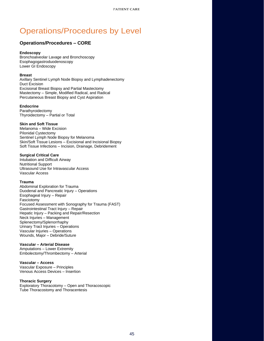#### **Operations/Procedures – CORE**

#### **Endoscopy**

Bronchoalveolar Lavage and Bronchoscopy Esophagogastroduodenoscopy Lower GI Endoscopy

#### **Breast**

Axillary Sentinel Lymph Node Biopsy and Lymphadenectomy Duct Excision Excisional Breast Biopsy and Partial Mastectomy Mastectomy – Simple, Modified Radical, and Radical Percutaneous Breast Biopsy and Cyst Aspiration

#### **Endocrine**

Parathyroidectomy Thyroidectomy – Partial or Total

#### **Skin and Soft Tissue**

Melanoma – Wide Excision Pilonidal Cystectomy Sentinel Lymph Node Biopsy for Melanoma Skin/Soft Tissue Lesions – Excisional and Incisional Biopsy Soft Tissue Infections – Incision, Drainage, Debridement

#### **Surgical Critical Care**

Intubation and Difficult Airway Nutritional Support Ultrasound Use for Intravascular Access Vascular Access

#### **Trauma**

Abdominal Exploration for Trauma Duodenal and Pancreatic Injury – Operations Esophageal Injury – Repair Fasciotomy Focused Assessment with Sonography for Trauma (FAST) Gastrointestinal Tract Injury – Repair Hepatic Injury – Packing and Repair/Resection Neck Injuries – Management Splenectomy/Splenorrhaphy Urinary Tract Injuries – Operations Vascular Injuries – Operations Wounds, Major – Debride/Suture

#### **Vascular – Arterial Disease**

Amputations – Lower Extremity Embolectomy/Thrombectomy – Arterial

#### **Vascular – Access**

Vascular Exposure – Principles Venous Access Devices – Insertion

#### **Thoracic Surgery**

Exploratory Thoracotomy – Open and Thoracoscopic Tube Thoracostomy and Thoracentesis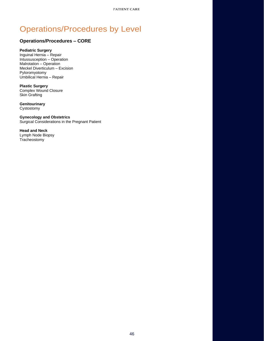### **Operations/Procedures – CORE**

#### **Pediatric Surgery**

Inguinal Hernia – Repair Intussusception – Operation Malrotation – Operation Meckel Diverticulum – Excision Pyloromyotomy Umbilical Hernia – Repair

#### **Plastic Surgery** Complex Wound Closure Skin Grafting

**Genitourinary** Cystostomy

**Gynecology and Obstetrics** Surgical Considerations in the Pregnant Patient

**Head and Neck**  Lymph Node Biopsy Tracheostomy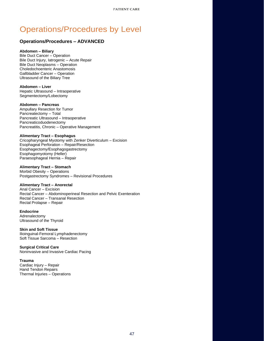#### <span id="page-46-0"></span>**Operations/Procedures – ADVANCED**

#### **Abdomen – Biliary**

Bile Duct Cancer – Operation Bile Duct Injury, Iatrogenic – Acute Repair Bile Duct Neoplasms – Operation Choledochoenteric Anastomosis Gallbladder Cancer – Operation Ultrasound of the Biliary Tree

**Abdomen – Liver** Hepatic Ultrasound – Intraoperative Segmentectomy/Lobectomy

#### **Abdomen – Pancreas**

Ampullary Resection for Tumor Pancreatectomy – Total Pancreatic Ultrasound – Intraoperative Pancreaticoduodenectomy Pancreatitis, Chronic – Operative Management

#### **Alimentary Tract – Esophagus**

Cricopharyngeal Myotomy with Zenker Diverticulum – Excision Esophageal Perforation – Repair/Resection Esophagectomy/Esophagogastrectomy Esophagomyotomy (Heller) Paraesophageal Hernia – Repair

#### **Alimentary Tract – Stomach**

Morbid Obesity – Operations Postgastrectomy Syndromes – Revisional Procedures

#### **Alimentary Tract – Anorectal**

Anal Cancer – Excision Rectal Cancer – Abdominoperineal Resection and Pelvic Exenteration Rectal Cancer – Transanal Resection Rectal Prolapse – Repair

**Endocrine** Adrenalectomy Ultrasound of the Thyroid

**Skin and Soft Tissue** Ilioinguinal-Femoral Lymphadenectomy Soft Tissue Sarcoma – Resection

**Surgical Critical Care** Noninvasive and Invasive Cardiac Pacing

#### **Trauma**

Cardiac Injury – Repair Hand Tendon Repairs Thermal Injuries – Operations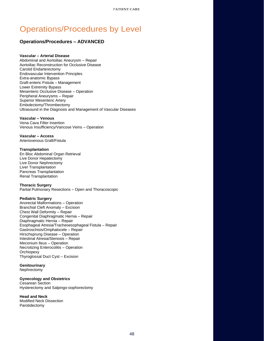### **Operations/Procedures – ADVANCED**

#### **Vascular – Arterial Disease**

Abdominal and Aortoiliac Aneurysm – Repair Aortoiliac Reconstruction for Occlusive Disease Carotid Endarterectomy Endovascular Intervention Principles Extra-anatomic Bypass Graft-enteric Fistula – Management Lower Extremity Bypass Mesenteric Occlusive Disease – Operation Peripheral Aneurysms – Repair Superior Mesenteric Artery Embolectomy/Thrombectomy Ultrasound in the Diagnosis and Management of Vascular Diseases

#### **Vascular – Venous**

Vena Cava Filter Insertion Venous Insufficiency/Varicose Veins – Operation

**Vascular – Access** Arteriovenous Graft/Fistula

#### **Transplantation**

En Bloc Abdominal Organ Retrieval Live Donor Hepatectomy Live Donor Nephrectomy Liver Transplantation Pancreas Transplantation Renal Transplantation

#### **Thoracic Surgery**

Partial Pulmonary Resections – Open and Thoracoscopic

#### **Pediatric Surgery**

Anorectal Malformations – Operation Branchial Cleft Anomaly – Excision Chest Wall Deformity – Repair Congenital Diaphragmatic Hernia – Repair Diaphragmatic Hernia – Repair Esophageal Atresia/Tracheoesophageal Fistula – Repair Gastroschisis/Omphalocele – Repair Hirschsprung Disease – Operation Intestinal Atresia/Stenosis – Repair Meconium Ileus – Operation Necrotizing Enterocolitis – Operation **Orchiopexy** Thyroglossal Duct Cyst – Excision

#### **Genitourinary**

Nephrectomy

#### **Gynecology and Obstetrics**

Cesarean Section Hysterectomy and Salpingo-oophorectomy

#### **Head and Neck**

Modified Neck Dissection Parotidectomy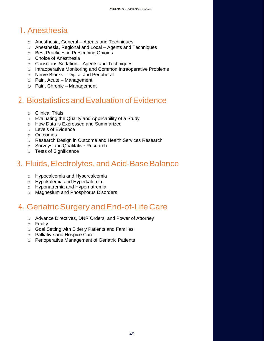# <span id="page-48-0"></span>1. Anesthesia

- o Anesthesia, General [Agents and Techniques](https://www.surgicalcore.org/modulecontent.aspx?id=152348)
- o [Anesthesia, Regional and Local –](https://www.surgicalcore.org/modulecontent.aspx?id=152408) Agents and Techniques
- o [Best Practices in Prescribing Opioids](https://www.surgicalcore.org/modulecontent.aspx?id=1000566)
- o [Choice of Anesthesia](https://www.surgicalcore.org/modulecontent.aspx?id=152224)
- o Conscious Sedation [Agents and Techniques](https://www.surgicalcore.org/modulecontent.aspx?id=152285)
- o [Intraoperative Monitoring and Common Intraoperative Problems](https://www.surgicalcore.org/modulecontent.aspx?id=152473)
- o Nerve Blocks [Digital and Peripheral](https://www.surgicalcore.org/modulecontent.aspx?id=1000561)
- o [Pain, Acute –](https://www.surgicalcore.org/modulecontent.aspx?id=139009) Management
- o [Pain, Chronic –](https://www.surgicalcore.org/modulecontent.aspx?id=167114) Management

# 2. Biostatistics and Evaluation of Evidence

- o [Clinical Trials](https://www.surgicalcore.org/modulecontent.aspx?id=169345)
- o [Evaluating the Quality and Applicability of a Study](https://www.surgicalcore.org/modulecontent.aspx?id=169155)
- o [How Data is Expressed and Summarized](https://www.surgicalcore.org/modulecontent.aspx?id=169033)
- o [Levels of Evidence](https://www.surgicalcore.org/modulecontent.aspx?id=169225)
- o [Outcomes](https://www.surgicalcore.org/modulecontent.aspx?id=169536)
- o [Research Design in Outcome and Health Services Research](https://www.surgicalcore.org/modulecontent.aspx?id=168976)
- o [Surveys and Qualitative Research](https://www.surgicalcore.org/modulecontent.aspx?id=152604)
- o [Tests of Significance](https://www.surgicalcore.org/modulecontent.aspx?id=169108)

# 3. Fluids, Electrolytes, and Acid-Base Balance

- o [Hypocalcemia and Hypercalcemia](https://www.surgicalcore.org/modulecontent.aspx?id=152867)
- o [Hypokalemia and Hyperkalemia](https://www.surgicalcore.org/modulecontent.aspx?id=152825)
- o [Hyponatremia and Hypernatremia](https://www.surgicalcore.org/modulecontent.aspx?id=152782)
- o [Magnesium and Phosphorus Disorders](https://www.surgicalcore.org/modulecontent.aspx?id=152730)

# 4. Geriatric Surgery and End-of-Life Care

- o [Advance Directives, DNR Orders, and Power of Attorney](https://www.surgicalcore.org/modulecontent.aspx?id=153229)
- o [Frailty](https://www.surgicalcore.org/modulecontent.aspx?id=1000505)
- o [Goal Setting with Elderly Patients and Families](https://www.surgicalcore.org/modulecontent.aspx?id=153166)
- o [Palliative and Hospice Care](https://www.surgicalcore.org/modulecontent.aspx?id=153305)
- o [Perioperative Management of Geriatric Patients](https://www.surgicalcore.org/modulecontent.aspx?id=1000506)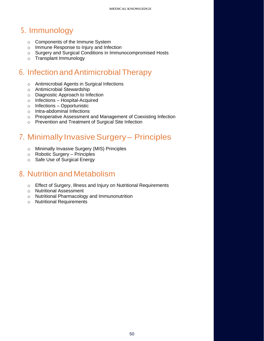# <span id="page-49-0"></span>5. Immunology

- o [Components of the Immune System](https://www.surgicalcore.org/modulecontent.aspx?id=153515)
- o [Immune Response to Injury and Infection](https://www.surgicalcore.org/modulecontent.aspx?id=153568)
- o [Surgery and Surgical Conditions in Immunocompromised Hosts](https://www.surgicalcore.org/modulecontent.aspx?id=153660)
- o [Transplant Immunology](https://www.surgicalcore.org/modulecontent.aspx?id=153608)

# 6. Infection andAntimicrobialTherapy

- o [Antimicrobial Agents in Surgical Infections](https://www.surgicalcore.org/modulecontent.aspx?id=1000241)
- o [Antimicrobial Stewardship](https://www.surgicalcore.org/modulecontent.aspx?id=1000544)
- o [Diagnostic Approach to Infection](https://www.surgicalcore.org/modulecontent.aspx?id=1000545)
- o Infections [Hospital-Acquired](https://www.surgicalcore.org/modulecontent.aspx?id=1000497)
- o Infections [Opportunistic](https://www.surgicalcore.org/modulecontent.aspx?id=163724)
- o [Intra-abdominal Infections](https://www.surgicalcore.org/modulecontent.aspx?id=1000242)
- o [Preoperative Assessment and Management of Coexisting Infection](https://www.surgicalcore.org/modulecontent.aspx?id=155849)
- o [Prevention and Treatment of Surgical Site Infection](https://www.surgicalcore.org/modulecontent.aspx?id=153969)

# 7. Minimally Invasive Surgery - Principles

- o [Minimally Invasive Surgery \(MIS\) Principles](https://www.surgicalcore.org/modulecontent.aspx?id=154124)
- o [Robotic Surgery –](https://www.surgicalcore.org/modulecontent.aspx?id=154419) Principles
- o [Safe Use of Surgical Energy](https://www.surgicalcore.org/modulecontent.aspx?id=1000223)

# 8. Nutrition and Metabolism

- o [Effect of Surgery, Illness and Injury on Nutritional Requirements](https://www.surgicalcore.org/modulecontent.aspx?id=154567)
- o [Nutritional Assessment](https://www.surgicalcore.org/modulecontent.aspx?id=154647)
- o [Nutritional Pharmacology and Immunonutrition](https://www.surgicalcore.org/modulecontent.aspx?id=154867)
- o [Nutritional Requirements](https://www.surgicalcore.org/modulecontent.aspx?id=154503)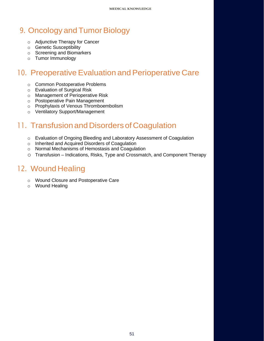# <span id="page-50-0"></span>9. Oncology and Tumor Biology

- o [Adjunctive Therapy for Cancer](https://www.surgicalcore.org/modulecontent.aspx?id=1000483)
- o [Genetic Susceptibility](https://www.surgicalcore.org/modulecontent.aspx?id=155132)
- o [Screening and Biomarkers](https://www.surgicalcore.org/modulecontent.aspx?id=155201)
- o [Tumor Immunology](https://www.surgicalcore.org/modulecontent.aspx?id=155301)

# 10. Preoperative Evaluation and Perioperative Care

- o [Common Postoperative Problems](https://www.surgicalcore.org/modulecontent.aspx?id=156100)
- o [Evaluation of Surgical Risk](https://www.surgicalcore.org/modulecontent.aspx?id=1000484)
- o [Management of Perioperative Risk](https://www.surgicalcore.org/modulecontent.aspx?id=1000485)
- o [Postoperative Pain Management](https://www.surgicalcore.org/modulecontent.aspx?id=152540)
- o [Prophylaxis of Venous Thromboembolism](https://www.surgicalcore.org/modulecontent.aspx?id=155978)
- o [Ventilatory Support/Management](https://www.surgicalcore.org/modulecontent.aspx?id=1000514)

# 11. Transfusion and Disorders of Coagulation

- o [Evaluation of Ongoing Bleeding and Laboratory Assessment of Coagulation](https://www.surgicalcore.org/modulecontent.aspx?id=156285)
- o [Inherited and Acquired Disorders of Coagulation](https://www.surgicalcore.org/modulecontent.aspx?id=156223)
- o [Normal Mechanisms of Hemostasis and Coagulation](https://www.surgicalcore.org/modulecontent.aspx?id=156169)
- o Transfusion [Indications, Risks, Type and Crossmatch, and Component Therapy](https://www.surgicalcore.org/modulecontent.aspx?id=156349)

# 12. Wound Healing

- o [Wound Closure and Postoperative Care](https://www.surgicalcore.org/modulecontent.aspx?id=1000473)
- o [Wound Healing](https://www.surgicalcore.org/modulecontent.aspx?id=1000474)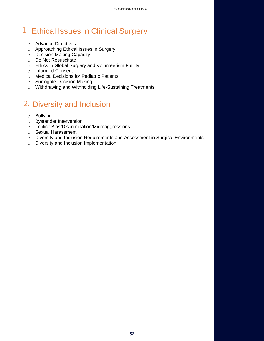# <span id="page-51-0"></span>1. Ethical Issues in Clinical Surgery

- o [Advance Directives](https://www.surgicalcore.org/modulecontent.aspx?id=1000776)
- o [Approaching Ethical Issues in Surgery](https://www.surgicalcore.org/modulecontent.aspx?id=1000773)
- o [Decision-Making Capacity](https://www.surgicalcore.org/modulecontent.aspx?id=1000780)
- o [Do Not Resuscitate](https://www.surgicalcore.org/modulecontent.aspx?id=1000779)
- o [Ethics in Global Surgery and Volunteerism](https://www.surgicalcore.org/modulecontent.aspx?id=1000782) [Futility](https://www.surgicalcore.org/modulecontent.aspx?id=1000777)
- o [Informed Consent](https://www.surgicalcore.org/modulecontent.aspx?id=1000774)
- o [Medical Decisions for Pediatric Patients](https://www.surgicalcore.org/modulecontent.aspx?id=1000781)
- o [Surrogate Decision Making](https://www.surgicalcore.org/modulecontent.aspx?id=1000775)
- o [Withdrawing and Withholding Life-Sustaining Treatments](https://www.surgicalcore.org/modulecontent.aspx?id=1000778)

# 2. Diversity and Inclusion

- o Bullying
- o Bystander Intervention
- o Implicit Bias/Discrimination/Microaggressions
- o Sexual Harassment
- o Diversity and Inclusion Requirements and Assessment in Surgical Environments
- o Diversity and Inclusion Implementation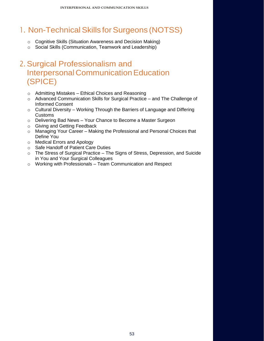# <span id="page-52-0"></span>1. Non-Technical Skills for Surgeons (NOTSS)

- o [Cognitive Skills \(Situation Awareness and Decision Making\)](https://www.surgicalcore.org/modulecontent.aspx?id=266879)
- o [Social Skills \(Communication, Teamwork and Leadership\)](https://www.surgicalcore.org/modulecontent.aspx?id=266836)

# 2. Surgical Professionalism and **Interpersonal Communication Education** (SPICE)

- o Admitting Mistakes [Ethical Choices and Reasoning](https://www.surgicalcore.org/modulecontent.aspx?id=1000794)
- o [Advanced Communication Skills for Surgical Practice –](https://www.surgicalcore.org/modulecontent.aspx?id=1000793) and The Challenge of [Informed Consent](https://www.surgicalcore.org/modulecontent.aspx?id=1000793)
- $\circ$  Cultural Diversity Working Through the Barriers of Language and Differing [Customs](https://www.surgicalcore.org/modulecontent.aspx?id=1000797)
- o Delivering Bad News [Your Chance to Become a Master Surgeon](https://www.surgicalcore.org/modulecontent.aspx?id=1000795)
- o [Giving and Getting Feedback](https://www.surgicalcore.org/modulecontent.aspx?id=267954)
- o Managing Your Career [Making the Professional and Personal Choices that](https://www.surgicalcore.org/modulecontent.aspx?id=1000799)  [Define You](https://www.surgicalcore.org/modulecontent.aspx?id=1000799)
- o [Medical Errors and Apology](https://www.surgicalcore.org/modulecontent.aspx?id=267870)
- o [Safe Handoff of Patient Care Duties](https://www.surgicalcore.org/modulecontent.aspx?id=268065)
- o The Stress of Surgical Practice [The Signs of Stress, Depression, and Suicide](https://www.surgicalcore.org/modulecontent.aspx?id=1000798)  [in You and Your Surgical Colleagues](https://www.surgicalcore.org/modulecontent.aspx?id=1000798)
- o Working with Professionals [Team Communication and Respect](https://www.surgicalcore.org/modulecontent.aspx?id=1000796)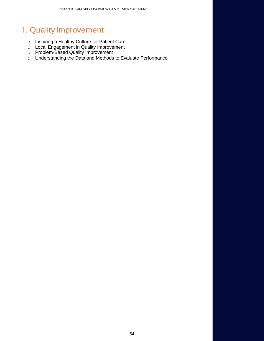# <span id="page-53-0"></span>1. Quality Improvement

- o [Inspiring a Healthy Culture for Patient Care](https://www.surgicalcore.org/modulecontent.aspx?id=267674)
- o [Local Engagement in Quality Improvement](https://www.surgicalcore.org/modulecontent.aspx?id=267777)
- o [Problem-Based Quality Improvement](https://www.surgicalcore.org/modulecontent.aspx?id=267745)
- o [Understanding the Data and Methods to Evaluate Performance](https://www.surgicalcore.org/modulecontent.aspx?id=267710)